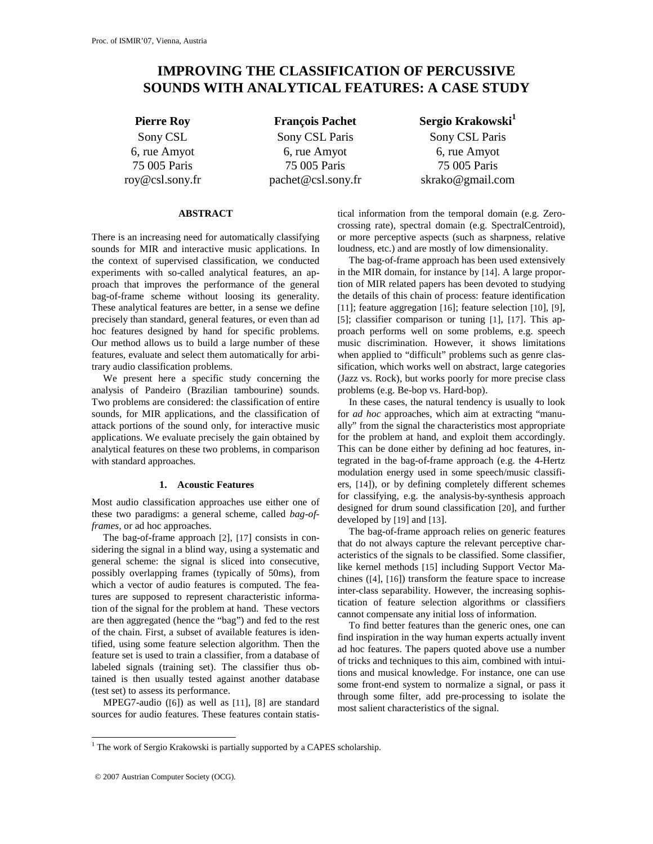# **IMPROVING THE CLASSIFICATION OF PERCUSSIVE SOUNDS WITH ANALYTICAL FEATURES: A CASE STUDY**

Sony CSL 6, rue Amyot 75 005 Paris roy@csl.sony.fr

Sony CSL Paris 6, rue Amyot 75 005 Paris pachet@csl.sony.fr

**Pierre Roy François Pachet Sergio Krakowski**<sup>1</sup> Sony CSL Paris 6, rue Amyot 75 005 Paris skrako@gmail.com

## **ABSTRACT**

There is an increasing need for automatically classifying sounds for MIR and interactive music applications. In the context of supervised classification, we conducted experiments with so-called analytical features, an approach that improves the performance of the general bag-of-frame scheme without loosing its generality. These analytical features are better, in a sense we define precisely than standard, general features, or even than ad hoc features designed by hand for specific problems. Our method allows us to build a large number of these features, evaluate and select them automatically for arbitrary audio classification problems.

We present here a specific study concerning the analysis of Pandeiro (Brazilian tambourine) sounds. Two problems are considered: the classification of entire sounds, for MIR applications, and the classification of attack portions of the sound only, for interactive music applications. We evaluate precisely the gain obtained by analytical features on these two problems, in comparison with standard approaches.

## **1. Acoustic Features**

Most audio classification approaches use either one of these two paradigms: a general scheme, called *bag-offrames,* or ad hoc approaches.

The bag-of-frame approach [2], [17] consists in considering the signal in a blind way, using a systematic and general scheme: the signal is sliced into consecutive, possibly overlapping frames (typically of 50ms), from which a vector of audio features is computed. The features are supposed to represent characteristic information of the signal for the problem at hand. These vectors are then aggregated (hence the "bag") and fed to the rest of the chain. First, a subset of available features is identified, using some feature selection algorithm. Then the feature set is used to train a classifier, from a database of labeled signals (training set). The classifier thus obtained is then usually tested against another database (test set) to assess its performance.

MPEG7-audio ([6]) as well as [11], [8] are standard sources for audio features. These features contain statistical information from the temporal domain (e.g. Zerocrossing rate), spectral domain (e.g. SpectralCentroid), or more perceptive aspects (such as sharpness, relative loudness, etc.) and are mostly of low dimensionality.

The bag-of-frame approach has been used extensively in the MIR domain, for instance by [14]. A large proportion of MIR related papers has been devoted to studying the details of this chain of process: feature identification [11]; feature aggregation [16]; feature selection [10], [9], [5]; classifier comparison or tuning [1], [17]. This approach performs well on some problems, e.g. speech music discrimination. However, it shows limitations when applied to "difficult" problems such as genre classification, which works well on abstract, large categories (Jazz vs. Rock), but works poorly for more precise class problems (e.g. Be-bop vs. Hard-bop).

In these cases, the natural tendency is usually to look for *ad hoc* approaches, which aim at extracting "manually" from the signal the characteristics most appropriate for the problem at hand, and exploit them accordingly. This can be done either by defining ad hoc features, integrated in the bag-of-frame approach (e.g. the 4-Hertz modulation energy used in some speech/music classifiers, [14]), or by defining completely different schemes for classifying, e.g. the analysis-by-synthesis approach designed for drum sound classification [20], and further developed by [19] and [13].

The bag-of-frame approach relies on generic features that do not always capture the relevant perceptive characteristics of the signals to be classified. Some classifier, like kernel methods [15] including Support Vector Machines ([4], [16]) transform the feature space to increase inter-class separability. However, the increasing sophistication of feature selection algorithms or classifiers cannot compensate any initial loss of information.

To find better features than the generic ones, one can find inspiration in the way human experts actually invent ad hoc features. The papers quoted above use a number of tricks and techniques to this aim, combined with intuitions and musical knowledge. For instance, one can use some front-end system to normalize a signal, or pass it through some filter, add pre-processing to isolate the most salient characteristics of the signal.

<sup>&</sup>lt;sup>1</sup> The work of Sergio Krakowski is partially supported by a CAPES scholarship.

<sup>© 2007</sup> Austrian Computer Society (OCG).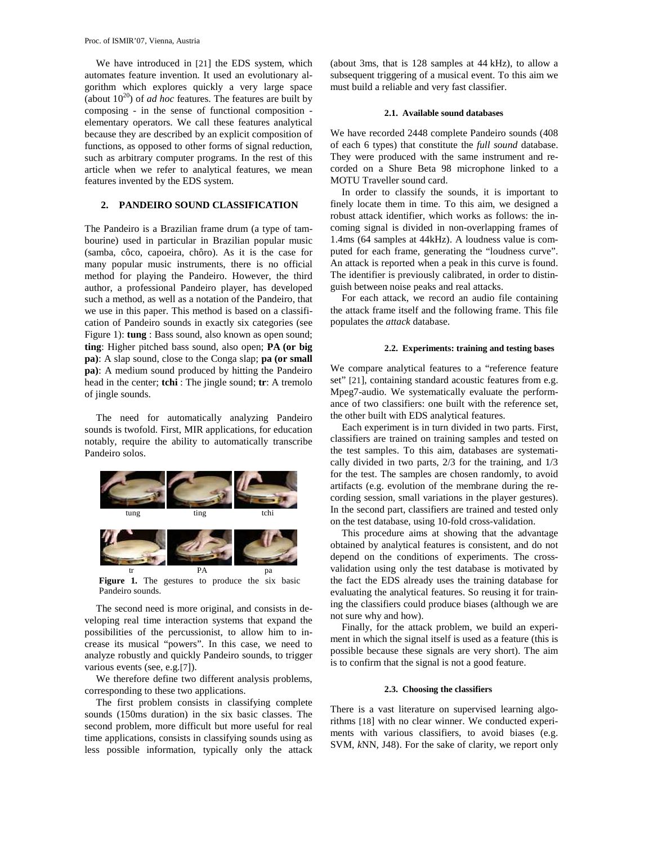We have introduced in [21] the EDS system, which automates feature invention. It used an evolutionary algorithm which explores quickly a very large space (about  $10^{20}$ ) of *ad hoc* features. The features are built by composing - in the sense of functional composition elementary operators. We call these features analytical because they are described by an explicit composition of functions, as opposed to other forms of signal reduction, such as arbitrary computer programs. In the rest of this article when we refer to analytical features, we mean features invented by the EDS system.

## **2. PANDEIRO SOUND CLASSIFICATION**

The Pandeiro is a Brazilian frame drum (a type of tambourine) used in particular in Brazilian popular music (samba, côco, capoeira, chôro). As it is the case for many popular music instruments, there is no official method for playing the Pandeiro. However, the third author, a professional Pandeiro player, has developed such a method, as well as a notation of the Pandeiro, that we use in this paper. This method is based on a classification of Pandeiro sounds in exactly six categories (see Figure 1): **tung** : Bass sound, also known as open sound; **ting**: Higher pitched bass sound, also open; **PA (or big pa)**: A slap sound, close to the Conga slap; **pa (or small pa)**: A medium sound produced by hitting the Pandeiro head in the center; **tchi** : The jingle sound; **tr**: A tremolo of jingle sounds.

The need for automatically analyzing Pandeiro sounds is twofold. First, MIR applications, for education notably, require the ability to automatically transcribe Pandeiro solos.



Figure 1. The gestures to produce the six basic Pandeiro sounds.

The second need is more original, and consists in developing real time interaction systems that expand the possibilities of the percussionist, to allow him to increase its musical "powers". In this case, we need to analyze robustly and quickly Pandeiro sounds, to trigger various events (see, e.g.[7]).

We therefore define two different analysis problems, corresponding to these two applications.

The first problem consists in classifying complete sounds (150ms duration) in the six basic classes. The second problem, more difficult but more useful for real time applications, consists in classifying sounds using as less possible information, typically only the attack (about 3ms, that is 128 samples at 44 kHz), to allow a subsequent triggering of a musical event. To this aim we must build a reliable and very fast classifier.

## **2.1. Available sound databases**

We have recorded 2448 complete Pandeiro sounds (408 of each 6 types) that constitute the *full sound* database. They were produced with the same instrument and recorded on a Shure Beta 98 microphone linked to a MOTU Traveller sound card.

In order to classify the sounds, it is important to finely locate them in time. To this aim, we designed a robust attack identifier, which works as follows: the incoming signal is divided in non-overlapping frames of 1.4ms (64 samples at 44kHz). A loudness value is computed for each frame, generating the "loudness curve". An attack is reported when a peak in this curve is found. The identifier is previously calibrated, in order to distinguish between noise peaks and real attacks.

For each attack, we record an audio file containing the attack frame itself and the following frame. This file populates the *attack* database.

#### **2.2. Experiments: training and testing bases**

We compare analytical features to a "reference feature set" [21], containing standard acoustic features from e.g. Mpeg7-audio. We systematically evaluate the performance of two classifiers: one built with the reference set, the other built with EDS analytical features.

Each experiment is in turn divided in two parts. First, classifiers are trained on training samples and tested on the test samples. To this aim, databases are systematically divided in two parts, 2/3 for the training, and 1/3 for the test. The samples are chosen randomly, to avoid artifacts (e.g. evolution of the membrane during the recording session, small variations in the player gestures). In the second part, classifiers are trained and tested only on the test database, using 10-fold cross-validation.

This procedure aims at showing that the advantage obtained by analytical features is consistent, and do not depend on the conditions of experiments. The crossvalidation using only the test database is motivated by the fact the EDS already uses the training database for evaluating the analytical features. So reusing it for training the classifiers could produce biases (although we are not sure why and how).

Finally, for the attack problem, we build an experiment in which the signal itself is used as a feature (this is possible because these signals are very short). The aim is to confirm that the signal is not a good feature.

#### **2.3. Choosing the classifiers**

There is a vast literature on supervised learning algorithms [18] with no clear winner. We conducted experiments with various classifiers, to avoid biases (e.g. SVM, *k*NN, J48). For the sake of clarity, we report only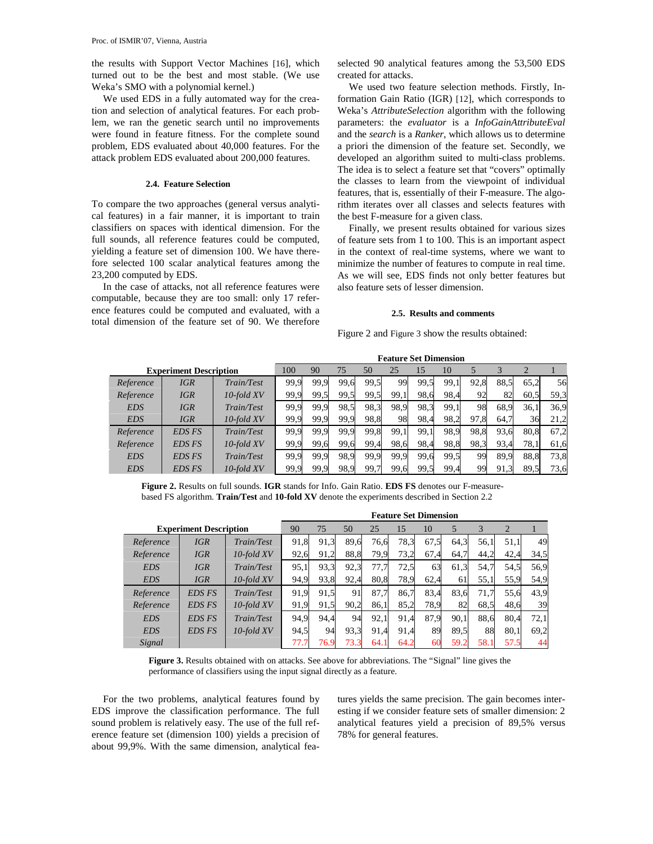the results with Support Vector Machines [16], which turned out to be the best and most stable. (We use Weka's SMO with a polynomial kernel.)

We used EDS in a fully automated way for the creation and selection of analytical features. For each problem, we ran the genetic search until no improvements were found in feature fitness. For the complete sound problem, EDS evaluated about 40,000 features. For the attack problem EDS evaluated about 200,000 features.

## **2.4. Feature Selection**

To compare the two approaches (general versus analytical features) in a fair manner, it is important to train classifiers on spaces with identical dimension. For the full sounds, all reference features could be computed, yielding a feature set of dimension 100. We have therefore selected 100 scalar analytical features among the 23,200 computed by EDS.

In the case of attacks, not all reference features were computable, because they are too small: only 17 reference features could be computed and evaluated, with a total dimension of the feature set of 90. We therefore selected 90 analytical features among the 53,500 EDS created for attacks.

We used two feature selection methods. Firstly, Information Gain Ratio (IGR) [12], which corresponds to Weka's *AttributeSelection* algorithm with the following parameters: the *evaluator* is a *InfoGainAttributeEval* and the *search* is a *Ranker*, which allows us to determine a priori the dimension of the feature set. Secondly, we developed an algorithm suited to multi-class problems. The idea is to select a feature set that "covers" optimally the classes to learn from the viewpoint of individual features, that is, essentially of their F-measure. The algorithm iterates over all classes and selects features with the best F-measure for a given class.

Finally, we present results obtained for various sizes of feature sets from 1 to 100. This is an important aspect in the context of real-time systems, where we want to minimize the number of features to compute in real time. As we will see, EDS finds not only better features but also feature sets of lesser dimension.

### **2.5. Results and comments**

Figure 2 and Figure 3 show the results obtained:

|                               |               |            | <b>Feature Set Dimension</b> |      |      |      |      |      |      |      |      |      |      |
|-------------------------------|---------------|------------|------------------------------|------|------|------|------|------|------|------|------|------|------|
| <b>Experiment Description</b> |               |            | 100                          | 90   | 75   | 50   | 25   | 15   | 10   |      |      |      |      |
| Reference                     | <b>IGR</b>    | Train/Test | 99,9                         | 99,9 | 99.6 | 99,5 | 99   | 99.5 | 99.1 | 92,8 | 88.5 | 65.2 | 56   |
| Reference                     | <b>IGR</b>    | 10-fold XV | 99,9                         | 99,5 | 99,5 | 99,5 | 99.1 | 98.6 | 98.4 | 92   | 82   | 60,5 | 59,3 |
| <b>EDS</b>                    | <b>IGR</b>    | Train/Test | 99,9                         | 99,9 | 98,5 | 98.3 | 98,9 | 98.3 | 99,1 | 98   | 68.9 | 36.1 | 36,9 |
| <b>EDS</b>                    | <b>IGR</b>    | 10-fold XV | 99,9                         | 99,9 | 99,9 | 98,8 | 98   | 98.4 | 98,2 | 97,8 | 64.7 | 36   | 21,2 |
| Reference                     | <b>EDS FS</b> | Train/Test | 99,9                         | 99,9 | 99,9 | 99,8 | 99.1 | 99.1 | 98,9 | 98,8 | 93,6 | 80.8 | 67,2 |
| Reference                     | <b>EDS FS</b> | 10-fold XV | 99,9                         | 99,6 | 99,6 | 99,4 | 98.6 | 98,4 | 98,8 | 98,3 | 93,4 | 78.1 | 61,6 |
| <b>EDS</b>                    | <b>EDS FS</b> | Train/Test | 99,9                         | 99.9 | 98.9 | 99.9 | 99.9 | 99.6 | 99,5 | 99   | 89.9 | 88.8 | 73,8 |
| <b>EDS</b>                    | <b>EDS FS</b> | 10-fold XV | 99,9                         | 99,9 | 98.9 | 99.7 | 99.6 | 99.5 | 99,4 | 99   | 91,3 | 89.5 | 73,6 |

**Figure 2.** Results on full sounds. **IGR** stands for Info. Gain Ratio. **EDS FS** denotes our F-measurebased FS algorithm. **Train/Test** and **10-fold XV** denote the experiments described in Section 2.2

|                               |               |            | <b>Feature Set Dimension</b> |      |      |      |      |      |      |      |                |      |
|-------------------------------|---------------|------------|------------------------------|------|------|------|------|------|------|------|----------------|------|
| <b>Experiment Description</b> |               |            | 90                           | 75   | 50   | 25   | 15   | 10   | 5    | 3    | $\overline{2}$ |      |
| Reference                     | <b>IGR</b>    | Train/Test | 91,8                         | 91,3 | 89.6 | 76,6 | 78,3 | 67,5 | 64,3 | 56,1 | 51,1           | 49   |
| Reference                     | IGR           | 10-fold XV | 92,6                         | 91,2 | 88,8 | 79,9 | 73,2 | 67,4 | 64,7 | 44,2 | 42,4           | 34,5 |
| <b>EDS</b>                    | <b>IGR</b>    | Train/Test | 95,1                         | 93.3 | 92,3 | 77,7 | 72,5 | 63   | 61,3 | 54,7 | 54,5           | 56,9 |
| <b>EDS</b>                    | IGR           | 10-fold XV | 94,9                         | 93.8 | 92,4 | 80,8 | 78,9 | 62,4 | 61   | 55,1 | 55,9           | 54,9 |
| Reference                     | <b>EDS FS</b> | Train/Test | 91,9                         | 91.5 | 91   | 87.7 | 86.7 | 83,4 | 83.6 | 71.7 | 55.6           | 43,9 |
| Reference                     | <b>EDS FS</b> | 10-fold XV | 91,9                         | 91,5 | 90,2 | 86,1 | 85,2 | 78,9 | 82   | 68.5 | 48.6           | 39   |
| <b>EDS</b>                    | <b>EDS FS</b> | Train/Test | 94,9                         | 94.4 | 94   | 92,1 | 91,4 | 87,9 | 90.1 | 88.6 | 80.4           | 72,1 |
| <b>EDS</b>                    | <b>EDS FS</b> | 10-fold XV | 94,5                         | 94   | 93,3 | 91,4 | 91,4 | 89   | 89.5 | 88   | 80,1           | 69,2 |
| Signal                        |               |            | 77.7                         | 76.9 | 73.3 | 64.1 | 64.2 | 60   | 59.2 | 58.1 | 57.5           | 44   |

**Figure 3.** Results obtained with on attacks. See above for abbreviations. The "Signal" line gives the performance of classifiers using the input signal directly as a feature.

For the two problems, analytical features found by EDS improve the classification performance. The full sound problem is relatively easy. The use of the full reference feature set (dimension 100) yields a precision of about 99,9%. With the same dimension, analytical features yields the same precision. The gain becomes interesting if we consider feature sets of smaller dimension: 2 analytical features yield a precision of 89,5% versus 78% for general features.